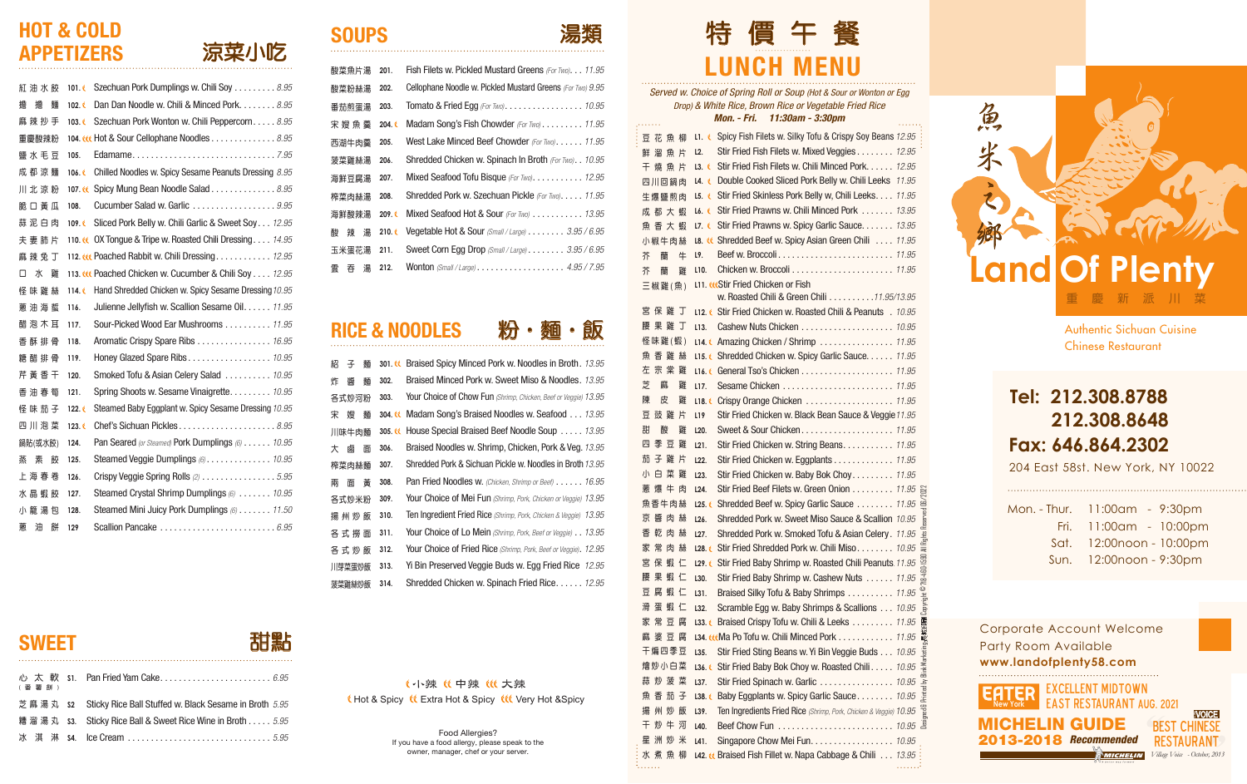*Served w. Choice of Spring Roll or Soup (Hot & Sour or Wonton or Egg Drop) & White Rice, Brown Rice or Vegetable Fried Rice Mon. - Fri. 11:30am - 3:30pm*



| (番薯餅) |                                                                |
|-------|----------------------------------------------------------------|
|       | 芝麻湯丸 s2 Sticky Rice Ball Stuffed w. Black Sesame in Broth 5.95 |
|       | 糟溜湯丸 s3. Sticky Rice Ball & Sweet Rice Wine in Broth  5.95     |
|       | 冰淇淋 s4. Ice Cream 5.95                                         |

#### **SOUPS**

| 涼菜小吃 |  |
|------|--|
|      |  |

#### HOT & COLD APPETIZERS

| 1.1.1.1.1   | <u> 111011. – 1 11. – 1 1.00a111 – 0.00pm</u>                                           |
|-------------|-----------------------------------------------------------------------------------------|
| 豆花魚柳        | L1. C Spicy Fish Filets w. Silky Tofu & Crispy Soy Beans 12.95                          |
| 鮮溜魚片        | Stir Fried Fish Filets w. Mixed Veggies 12.95<br>L <sub>2</sub> .                       |
| 干 燒 魚 片     | Stir Fried Fish Filets w. Chili Minced Pork. 12.95<br>L3.                               |
| 四川回鍋肉       | Double Cooked Sliced Pork Belly w. Chili Leeks 11.95<br>L4. €                           |
| 生爆鹽煎肉       | <b>L5. Ceta:</b> Stir Fried Skinless Pork Belly w, Chili Leeks. 11.95                   |
| 成都大蝦        | Stir Fried Prawns w. Chili Minced Pork  13.95<br>L6. C                                  |
| 魚 香 大 蝦     | Stir Fried Prawns w. Spicy Garlic Sauce. 13.95<br>L7. €                                 |
| 小椒牛肉絲       | L8. « Shredded Beef w. Spicy Asian Green Chili  11.95                                   |
| 芥<br>蘭<br>牛 | L9.                                                                                     |
| 芥<br>蘭<br>雞 | L <sub>10</sub> .                                                                       |
| 三椒雞(魚)      | <b>L11. WStir Fried Chicken or Fish</b>                                                 |
|             | w. Roasted Chili & Green Chili 11.95/13.95                                              |
| 宮保雞丁        | L12. C Stir Fried Chicken w. Roasted Chili & Peanuts . 10.95                            |
| 腰 果 雞 丁     | L13.                                                                                    |
| 怪味雞(蝦)      | <b>L14. CAmazing Chicken / Shrimp  11.95</b>                                            |
| 魚 香 雞 絲     | L15. Chredded Chicken w. Spicy Garlic Sauce. 11.95                                      |
| 左宗棠雞        |                                                                                         |
| 芝<br>麻<br>雞 | L17.                                                                                    |
| 陳<br>皮<br>雞 | L18.                                                                                    |
| 豆 豉 雞 片     | Stir Fried Chicken w. Black Bean Sauce & Veggie 11.95<br>L <sub>19</sub>                |
| 甜<br>酸<br>雞 | L20.                                                                                    |
| 季 豆 雞<br>四  | Stir Fried Chicken w. String Beans. 11.95<br>L21.                                       |
| 茄子雞片        | Stir Fried Chicken w. Eggplants 11.95<br>L22.                                           |
| 小 白 菜 雞     | Stir Fried Chicken w. Baby Bok Choy 11.95<br>L23.                                       |
| 蔥 爆 牛 肉     | Stir Fried Beef Filets w. Green Onion 11.95<br>L24.                                     |
| 魚香牛肉絲       | Shredded Beef w. Spicy Garlic Sauce 11.95<br>L25.                                       |
| 京 醬 肉 絲     | Keserved<br>Shredded Pork w. Sweet Miso Sauce & Scallion 10.95<br>L26.                  |
| 乾 肉 絲<br>杳  | Shredded Pork w. Smoked Tofu & Asian Celery. 11.95<br>$rac{1}{2}$<br>L27.               |
| 家常肉絲        | <b>All Rig</b><br>L28. C Stir Fried Shredded Pork w. Chili Miso 10.95                   |
| 宮 保 蝦 仁     | <b>L29. € Stir Fried Baby Shrimp w. Roasted Chili Peanuts</b> 11.95                     |
| 果蝦仁<br>腰    | Stir Fried Baby Shrimp w. Cashew Nuts 11.95<br>L30.                                     |
| 豆腐蝦仁        | Braised Silky Tofu & Baby Shrimps 11.95<br>L31.<br>흐                                    |
| 滑 蛋 蝦 仁     | Ndor<br>1<br>Scramble Egg w. Baby Shrimps & Scallions 10.95<br>L32.                     |
| 家 常 豆 腐     | 133. Braised Crispy Tofu w. Chili & Leeks 11.95 震                                       |
| 婆 豆 腐<br>胹  | L34. tttMa Po Tofu w. Chili Minced Pork 11.95 戰                                         |
| 干煸四季豆       | keting<br>Stir Fried Sting Beans w. Yi Bin Veggie Buds 10.95<br>L35.                    |
| 燴炒小白菜       | Stir Fried Baby Bok Choy w. Roasted Chili 10.95<br>L36.6                                |
| 蒜 炒 菠 菜     | Stir Fried Spinach w. Garlic  10.95<br>L37.                                             |
| 茄 子<br>魚 杳  | Printed by Bli<br>L38. & Baby Eggplants w. Spicy Garlic Sauce 10.95                     |
| 州炒飯<br>揚    | Ten Ingredients Fried Rice (Shrimp, Pork, Chicken & Veggie) 10.95<br><b>THE</b><br>L39. |
| 干<br>炒牛河    | L40.                                                                                    |
| 星洲炒米        | Singapore Chow Mei Fun. 10.95<br>L41.                                                   |
| 水煮魚柳        | L42. « Braised Fish Fillet w. Napa Cabbage & Chili 13.95                                |
|             |                                                                                         |

| 紅 沺 水 餃       | 101.6           | Szechuan Pork Dumplings w. Chili Soy 8.95                           |
|---------------|-----------------|---------------------------------------------------------------------|
| 擔<br>擔<br>麵   | 102.6           | Dan Dan Noodle w. Chili & Minced Pork 8.95                          |
| 麻 辣 抄 手       | 103.6           | Szechuan Pork Wonton w. Chili Peppercorn 8.95                       |
| 重慶酸辣粉         |                 | 104. et Hot & Sour Cellophane Noodles 8.95                          |
| 鹽 水 毛 豆       | 105.            | Edamame7.95                                                         |
| 成都涼麵          | 106.€           | Chilled Noodles w. Spicy Sesame Peanuts Dressing 8.95               |
| 川北涼粉          | 107.66          | Spicy Mung Bean Noodle Salad 8.95                                   |
| 脆 口 黃 瓜       | 108.            | Cucumber Salad w. Garlic $\ldots \ldots \ldots \ldots \ldots$       |
| 蒜泥白肉          | 109.6           | Sliced Pork Belly w. Chili Garlic & Sweet Soy 12.95                 |
| 夫 妻 肺 片       |                 | 110. C OX Tongue & Tripe w. Roasted Chili Dressing 14.95            |
| 麻 辣 兔 丁       |                 | 112. W. Poached Rabbit w. Chili Dressing 12.95                      |
| ж<br>п<br>雞   |                 | 113. W Poached Chicken w. Cucumber & Chili Soy 12.95                |
| 怪 味 雞 絲       | 114. $\epsilon$ | Hand Shredded Chicken w. Spicy Sesame Dressing 10.95                |
| 蔥 油 海 蜇       | 116.            | Julienne Jellyfish w. Scallion Sesame Oil. 11.95                    |
| 醋 泡 木 耳       | 117.            | Sour-Picked Wood Ear Mushrooms 11.95                                |
| 香 酥 排 骨       | 118.            | Aromatic Crispy Spare Ribs 16.95                                    |
| 糖 醋 排 骨       | 119.            |                                                                     |
| 芹 黃 香 干       | 120.            | Smoked Tofu & Asian Celery Salad  10.95                             |
| 香 油 春 筍       | 121.            | Spring Shoots w. Sesame Vinaigrette. 10.95                          |
| 怪味茄子          | 122. €          | Steamed Baby Eggplant w. Spicy Sesame Dressing 10.95                |
| 四川泡菜          | 123.6           | Chef's Sichuan Pickles8.95                                          |
| 鍋貼(或水餃)       | 124.            | Pan Seared (or Steamed) Pork Dumplings (6) 10.95                    |
| 素<br>蒸<br>一一一 | 125.            | Steamed Veggie Dumplings (6) 10.95                                  |
| 上海春卷          | 126.            | Crispy Veggie Spring Rolls (2) 5.95                                 |
| 水晶蝦餃          | 127.            | Steamed Crystal Shrimp Dumplings $\omega_1, \ldots, \omega_{10.95}$ |
| 小 籠 湯 包       | 128.            | Steamed Mini Juicy Pork Dumplings (6) 11.50                         |
| 蔥<br>油<br>餅   | 129             |                                                                     |

## SWEET **甜點**



204 East 58st. New York, NY 10022

#### **Tel: 212.308.8788 212.308.8648 Fax: 646.864.2302**

Authentic Sichuan Cuisine Chinese Restaurant

**www.landofplenty58.com** Corporate Account Welcome Party Room Available

Mon. - Thur. 11:00am - 9:30pm Fri. 11:00am - 10:00pm Sat. 12:00noon - 10:00pm Sun. 12:00noon - 9:30pm

Food Allergies?

(小辣 (中辣 (化大辣 t Hot & Spicy tt Extra Hot & Spicy ttt Very Hot & Spicy

> If you have a food allergy, please speak to the owner, manager, chef or your server.

![](_page_0_Picture_10.jpeg)

| 酸菜魚片湯       | 201.   | Fish Filets w. Pickled Mustard Greens (For Two) 11.95                     |
|-------------|--------|---------------------------------------------------------------------------|
| 酸菜粉絲湯       | 202.   | <b>Cellophane Noodle w. Pickled Mustard Greens (For Two) 9.95</b>         |
| 番茄煎蛋湯       | 203.   | Tomato & Fried Egg (For Two). 10.95                                       |
| 宋 嫂 魚 羹     | 204.   | Madam Song's Fish Chowder (For Two) 11.95                                 |
| 西湖牛肉羹       | 205.   | West Lake Minced Beef Chowder (For Two) 11.95                             |
| 菠菜雞絲湯       | 206.   | <b>Shredded Chicken w. Spinach In Broth (For Two) 10.95</b>               |
| 海鮮豆腐湯       | 207.   | Mixed Seafood Tofu Bisque (For Two). 12.95                                |
| 榨菜肉絲湯       | 208.   | <b>Shredded Pork w. Szechuan Pickle (For Two) 11.95</b>                   |
| 海鮮酸辣湯       | 209. C | Mixed Seafood Hot & Sour (For Two) $\ldots \ldots \ldots 13.95$           |
| 湯<br>酸<br>辣 | 210.6  | <b>Vegetable Hot &amp; Sour</b> (Small / Large) $\ldots \ldots 3.95/6.95$ |
| 玉米蛋花湯       | 211.   | <b>Sweet Corn Egg Drop</b> (Small / Large) $\ldots \ldots 3.95/6.95$      |
| 湯<br>雲<br>夻 | 212.   |                                                                           |

RICE & NOODLES 粉・麵・飯

| 紹<br>麵                | 301. « Braised Spicy Minced Pork w. Noodles in Broth. 13.95                |  |
|-----------------------|----------------------------------------------------------------------------|--|
| 炸<br>槳<br>302.<br>麵   | Braised Minced Pork w. Sweet Miso & Noodles. 13.95                         |  |
| 303.<br>各式炒河粉         | Your Choice of Chow Fun (Shrimp, Chicken, Beef or Veggie) 13.95            |  |
| 304.00<br>宋<br>孆<br>麵 | Madam Song's Braised Noodles w. Seafood 13.95                              |  |
| $305.$ EC<br>川味牛肉麵    | House Special Braised Beef Noodle Soup  13.95                              |  |
| 306.<br>大<br>鹵<br>面   | Braised Noodles w. Shrimp, Chicken, Pork & Veg. 13.95                      |  |
| 307.<br>榨菜肉絲麵         | Shredded Pork & Sichuan Pickle w. Noodles in Broth 13.95                   |  |
| 兩<br>黃<br>308.<br>面   | Pan Fried Noodles w. (Chicken, Shrimp or Beef) 16.95                       |  |
| 309.<br>各式炒米粉         | Your Choice of Mei Fun (Shrimp, Pork, Chicken or Veggie) 13.95             |  |
| 310.<br>揚 州 炒 飯       | <b>Ten Ingredient Fried Rice</b> (Shrimp, Pork, Chicken & Veggie)<br>13.95 |  |
| 311.<br>各 式 撈 面       | <b>Your Choice of Lo Mein</b> (Shrimp, Pork, Beef or Veggie) 13.95         |  |
| 312.<br>各 式 炒 飯       | <b>Your Choice of Fried Rice</b> (Shrimp, Pork, Beef or Veggie). 12.95     |  |
| 313.<br>川芽菜蛋炒飯        | Yi Bin Preserved Veggie Buds w. Egg Fried Rice 12.95                       |  |
| 菠菜雞絲炒飯<br>314.        | Shredded Chicken w. Spinach Fried Rice 12.95                               |  |

2013-2018 *Recommended*

Excellent Midtown FR. **EAST RESTAURANT AUG. 2021 VOICE** MICHELIN GUIDE BEST CHINESE

> RESTAURANT *Village Voice - October, 2013*

MICHELIN